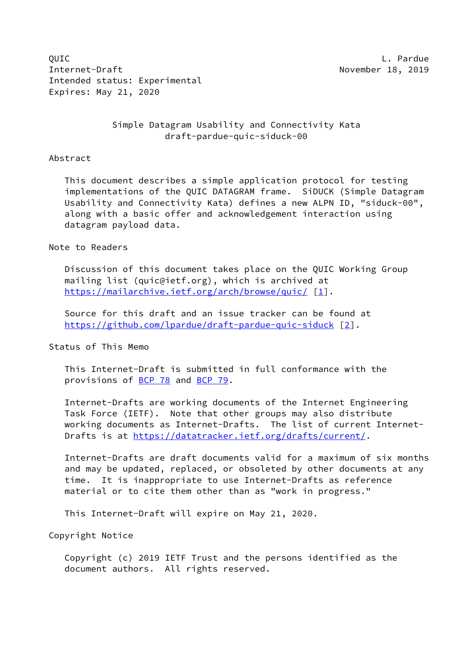QUIC L. Pardue Internet-Draft November 18, 2019 Intended status: Experimental Expires: May 21, 2020

> Simple Datagram Usability and Connectivity Kata draft-pardue-quic-siduck-00

### Abstract

 This document describes a simple application protocol for testing implementations of the QUIC DATAGRAM frame. SiDUCK (Simple Datagram Usability and Connectivity Kata) defines a new ALPN ID, "siduck-00", along with a basic offer and acknowledgement interaction using datagram payload data.

Note to Readers

 Discussion of this document takes place on the QUIC Working Group mailing list (quic@ietf.org), which is archived at <https://mailarchive.ietf.org/arch/browse/quic/> [\[1](#page-5-0)].

 Source for this draft and an issue tracker can be found at <https://github.com/lpardue/draft-pardue-quic-siduck> [\[2](#page-5-1)].

Status of This Memo

 This Internet-Draft is submitted in full conformance with the provisions of [BCP 78](https://datatracker.ietf.org/doc/pdf/bcp78) and [BCP 79](https://datatracker.ietf.org/doc/pdf/bcp79).

 Internet-Drafts are working documents of the Internet Engineering Task Force (IETF). Note that other groups may also distribute working documents as Internet-Drafts. The list of current Internet- Drafts is at<https://datatracker.ietf.org/drafts/current/>.

 Internet-Drafts are draft documents valid for a maximum of six months and may be updated, replaced, or obsoleted by other documents at any time. It is inappropriate to use Internet-Drafts as reference material or to cite them other than as "work in progress."

This Internet-Draft will expire on May 21, 2020.

Copyright Notice

 Copyright (c) 2019 IETF Trust and the persons identified as the document authors. All rights reserved.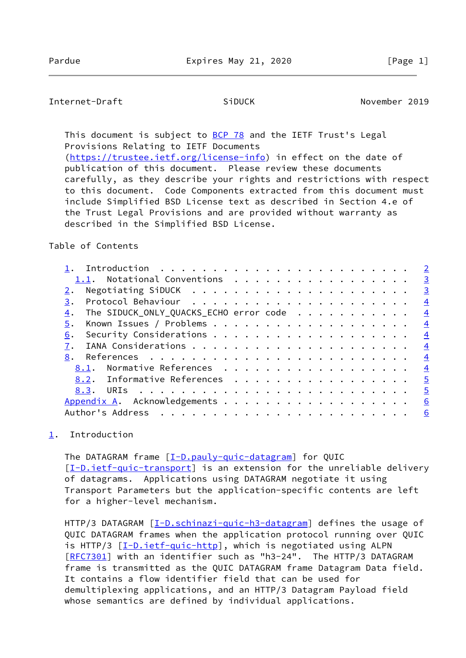<span id="page-1-1"></span>This document is subject to [BCP 78](https://datatracker.ietf.org/doc/pdf/bcp78) and the IETF Trust's Legal Provisions Relating to IETF Documents [\(https://trustee.ietf.org/license-info](https://trustee.ietf.org/license-info)) in effect on the date of

 publication of this document. Please review these documents carefully, as they describe your rights and restrictions with respect to this document. Code Components extracted from this document must include Simplified BSD License text as described in Section 4.e of the Trust Legal Provisions and are provided without warranty as described in the Simplified BSD License.

## Table of Contents

|                                              | $\overline{2}$ |
|----------------------------------------------|----------------|
| 1.1. Notational Conventions                  | $\overline{3}$ |
|                                              | $\overline{3}$ |
| 3.                                           | $\overline{4}$ |
| The SIDUCK_ONLY_QUACKS_ECHO error code<br>4. | $\overline{4}$ |
| 5.                                           | $\overline{4}$ |
| 6.                                           | $\overline{4}$ |
|                                              | $\overline{4}$ |
| 8.                                           | $\overline{4}$ |
| Normative References<br>8.1.                 | $\overline{4}$ |
| 8.2. Informative References                  | $\overline{5}$ |
|                                              | $\overline{5}$ |
| Appendix A. Acknowledgements                 | 6              |
|                                              | 6              |
|                                              |                |

# <span id="page-1-0"></span>[1](#page-1-0). Introduction

The DATAGRAM frame [[I-D.pauly-quic-datagram\]](#page-4-5) for QUIC [\[I-D.ietf-quic-transport](#page-4-6)] is an extension for the unreliable delivery of datagrams. Applications using DATAGRAM negotiate it using Transport Parameters but the application-specific contents are left for a higher-level mechanism.

HTTP/3 DATAGRAM [\[I-D.schinazi-quic-h3-datagram](#page-5-6)] defines the usage of QUIC DATAGRAM frames when the application protocol running over QUIC is HTTP/3 [[I-D.ietf-quic-http\]](#page-5-7), which is negotiated using ALPN [\[RFC7301](https://datatracker.ietf.org/doc/pdf/rfc7301)] with an identifier such as "h3-24". The HTTP/3 DATAGRAM frame is transmitted as the QUIC DATAGRAM frame Datagram Data field. It contains a flow identifier field that can be used for demultiplexing applications, and an HTTP/3 Datagram Payload field whose semantics are defined by individual applications.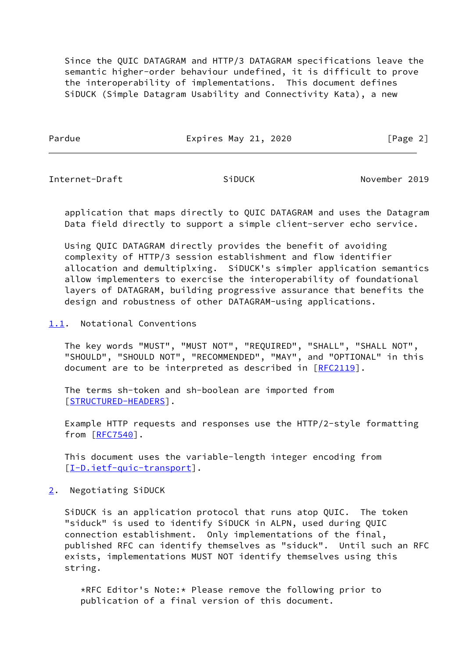Since the QUIC DATAGRAM and HTTP/3 DATAGRAM specifications leave the semantic higher-order behaviour undefined, it is difficult to prove the interoperability of implementations. This document defines SiDUCK (Simple Datagram Usability and Connectivity Kata), a new

Pardue **Expires May 21, 2020** [Page 2]

<span id="page-2-1"></span>Internet-Draft SiDUCK November 2019

 application that maps directly to QUIC DATAGRAM and uses the Datagram Data field directly to support a simple client-server echo service.

 Using QUIC DATAGRAM directly provides the benefit of avoiding complexity of HTTP/3 session establishment and flow identifier allocation and demultiplxing. SiDUCK's simpler application semantics allow implementers to exercise the interoperability of foundational layers of DATAGRAM, building progressive assurance that benefits the design and robustness of other DATAGRAM-using applications.

<span id="page-2-0"></span>[1.1](#page-2-0). Notational Conventions

 The key words "MUST", "MUST NOT", "REQUIRED", "SHALL", "SHALL NOT", "SHOULD", "SHOULD NOT", "RECOMMENDED", "MAY", and "OPTIONAL" in this document are to be interpreted as described in [\[RFC2119](https://datatracker.ietf.org/doc/pdf/rfc2119)].

 The terms sh-token and sh-boolean are imported from [\[STRUCTURED-HEADERS\]](#page-4-7).

 Example HTTP requests and responses use the HTTP/2-style formatting from [\[RFC7540](https://datatracker.ietf.org/doc/pdf/rfc7540)].

 This document uses the variable-length integer encoding from [\[I-D.ietf-quic-transport](#page-4-6)].

<span id="page-2-2"></span>[2](#page-2-2). Negotiating SiDUCK

 SiDUCK is an application protocol that runs atop QUIC. The token "siduck" is used to identify SiDUCK in ALPN, used during QUIC connection establishment. Only implementations of the final, published RFC can identify themselves as "siduck". Until such an RFC exists, implementations MUST NOT identify themselves using this string.

 \*RFC Editor's Note:\* Please remove the following prior to publication of a final version of this document.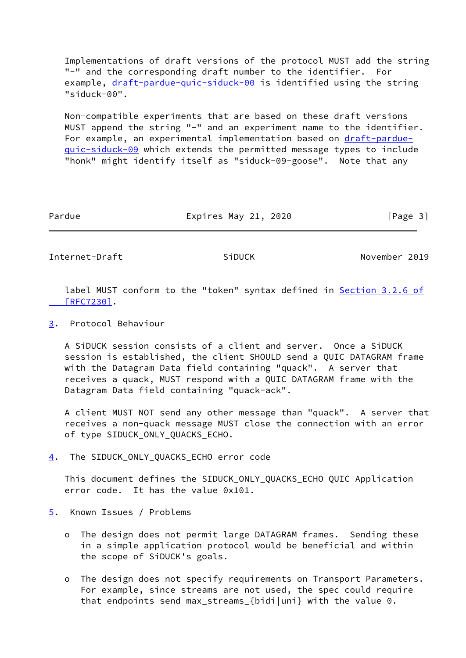Implementations of draft versions of the protocol MUST add the string "-" and the corresponding draft number to the identifier. For example, [draft-pardue-quic-siduck-00](https://datatracker.ietf.org/doc/pdf/draft-pardue-quic-siduck-00) is identified using the string "siduck-00".

 Non-compatible experiments that are based on these draft versions MUST append the string "-" and an experiment name to the identifier. For example, an experimental implementation based on [draft-pardue](https://datatracker.ietf.org/doc/pdf/draft-pardue-quic-siduck-09) [quic-siduck-09](https://datatracker.ietf.org/doc/pdf/draft-pardue-quic-siduck-09) which extends the permitted message types to include "honk" might identify itself as "siduck-09-goose". Note that any

Pardue **Expires May 21, 2020** [Page 3]

<span id="page-3-1"></span>Internet-Draft SiDUCK November 2019

label MUST conform to the "token" syntax defined in **Section [3.2.6 of](https://datatracker.ietf.org/doc/pdf/rfc7230#section-3.2.6)**  [\[RFC7230\]](https://datatracker.ietf.org/doc/pdf/rfc7230#section-3.2.6).

<span id="page-3-0"></span>[3](#page-3-0). Protocol Behaviour

 A SiDUCK session consists of a client and server. Once a SiDUCK session is established, the client SHOULD send a QUIC DATAGRAM frame with the Datagram Data field containing "quack". A server that receives a quack, MUST respond with a QUIC DATAGRAM frame with the Datagram Data field containing "quack-ack".

 A client MUST NOT send any other message than "quack". A server that receives a non-quack message MUST close the connection with an error of type SIDUCK\_ONLY\_QUACKS\_ECHO.

<span id="page-3-2"></span>[4](#page-3-2). The SIDUCK\_ONLY\_QUACKS\_ECHO error code

 This document defines the SIDUCK\_ONLY\_QUACKS\_ECHO QUIC Application error code. It has the value 0x101.

- <span id="page-3-3"></span>[5](#page-3-3). Known Issues / Problems
	- o The design does not permit large DATAGRAM frames. Sending these in a simple application protocol would be beneficial and within the scope of SiDUCK's goals.
	- o The design does not specify requirements on Transport Parameters. For example, since streams are not used, the spec could require that endpoints send max\_streams\_{bidi|uni} with the value 0.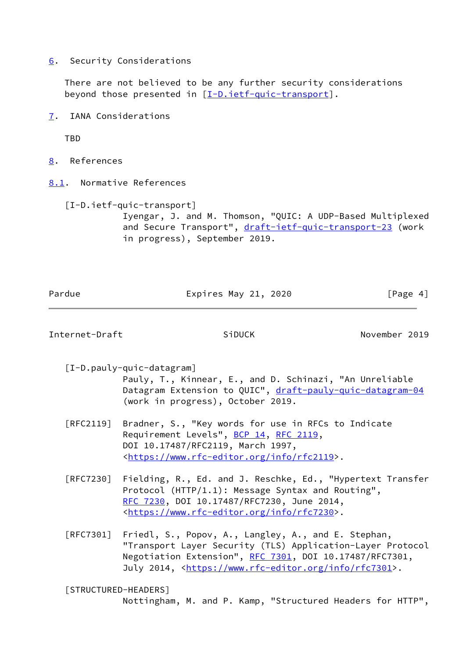<span id="page-4-0"></span>[6](#page-4-0). Security Considerations

 There are not believed to be any further security considerations beyond those presented in  $[I-D.iett-quic-transport]$ .

<span id="page-4-1"></span>[7](#page-4-1). IANA Considerations

TBD

- <span id="page-4-2"></span>[8](#page-4-2). References
- <span id="page-4-3"></span>[8.1](#page-4-3). Normative References

<span id="page-4-6"></span> [I-D.ietf-quic-transport] Iyengar, J. and M. Thomson, "QUIC: A UDP-Based Multiplexed and Secure Transport", [draft-ietf-quic-transport-23](https://datatracker.ietf.org/doc/pdf/draft-ietf-quic-transport-23) (work in progress), September 2019.

Pardue **Expires May 21, 2020** [Page 4]

<span id="page-4-4"></span>Internet-Draft SiDUCK November 2019

<span id="page-4-5"></span>[I-D.pauly-quic-datagram]

 Pauly, T., Kinnear, E., and D. Schinazi, "An Unreliable Datagram Extension to QUIC", [draft-pauly-quic-datagram-04](https://datatracker.ietf.org/doc/pdf/draft-pauly-quic-datagram-04) (work in progress), October 2019.

- [RFC2119] Bradner, S., "Key words for use in RFCs to Indicate Requirement Levels", [BCP 14](https://datatracker.ietf.org/doc/pdf/bcp14), [RFC 2119](https://datatracker.ietf.org/doc/pdf/rfc2119), DOI 10.17487/RFC2119, March 1997, <[https://www.rfc-editor.org/info/rfc2119>](https://www.rfc-editor.org/info/rfc2119).
- [RFC7230] Fielding, R., Ed. and J. Reschke, Ed., "Hypertext Transfer Protocol (HTTP/1.1): Message Syntax and Routing", [RFC 7230,](https://datatracker.ietf.org/doc/pdf/rfc7230) DOI 10.17487/RFC7230, June 2014, <[https://www.rfc-editor.org/info/rfc7230>](https://www.rfc-editor.org/info/rfc7230).
- [RFC7301] Friedl, S., Popov, A., Langley, A., and E. Stephan, "Transport Layer Security (TLS) Application-Layer Protocol Negotiation Extension", [RFC 7301,](https://datatracker.ietf.org/doc/pdf/rfc7301) DOI 10.17487/RFC7301, July 2014, <<https://www.rfc-editor.org/info/rfc7301>>.

<span id="page-4-7"></span> [STRUCTURED-HEADERS] Nottingham, M. and P. Kamp, "Structured Headers for HTTP",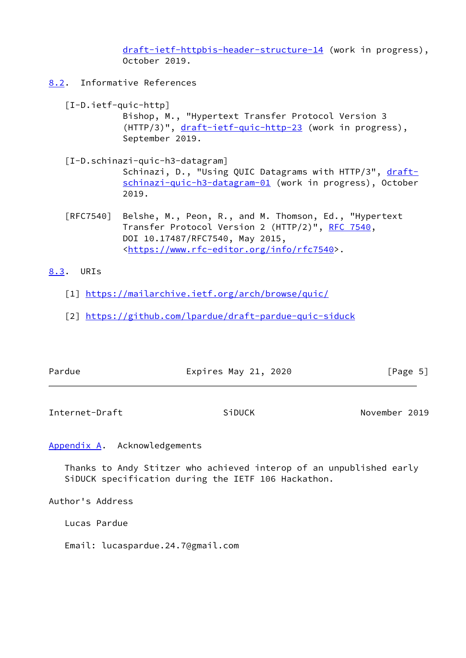[draft-ietf-httpbis-header-structure-14](https://datatracker.ietf.org/doc/pdf/draft-ietf-httpbis-header-structure-14) (work in progress), October 2019.

- <span id="page-5-7"></span><span id="page-5-6"></span><span id="page-5-2"></span>[8.2](#page-5-2). Informative References
	- [I-D.ietf-quic-http] Bishop, M., "Hypertext Transfer Protocol Version 3 (HTTP/3)", [draft-ietf-quic-http-23](https://datatracker.ietf.org/doc/pdf/draft-ietf-quic-http-23) (work in progress), September 2019.
	- [I-D.schinazi-quic-h3-datagram] Schinazi, D., "Using QUIC Datagrams with HTTP/3", [draft](https://datatracker.ietf.org/doc/pdf/draft-schinazi-quic-h3-datagram-01) [schinazi-quic-h3-datagram-01](https://datatracker.ietf.org/doc/pdf/draft-schinazi-quic-h3-datagram-01) (work in progress), October 2019.
	- [RFC7540] Belshe, M., Peon, R., and M. Thomson, Ed., "Hypertext Transfer Protocol Version 2 (HTTP/2)", [RFC 7540](https://datatracker.ietf.org/doc/pdf/rfc7540), DOI 10.17487/RFC7540, May 2015, <[https://www.rfc-editor.org/info/rfc7540>](https://www.rfc-editor.org/info/rfc7540).

# <span id="page-5-3"></span>[8.3](#page-5-3). URIs

- <span id="page-5-0"></span>[1] <https://mailarchive.ietf.org/arch/browse/quic/>
- <span id="page-5-1"></span>[2] <https://github.com/lpardue/draft-pardue-quic-siduck>

| Pardue | Expires May 21, 2020 | [Page 5] |
|--------|----------------------|----------|
|        |                      |          |

<span id="page-5-5"></span>Internet-Draft SiDUCK November 2019

<span id="page-5-4"></span>[Appendix A.](#page-5-4) Acknowledgements

 Thanks to Andy Stitzer who achieved interop of an unpublished early SiDUCK specification during the IETF 106 Hackathon.

Author's Address

Lucas Pardue

Email: lucaspardue.24.7@gmail.com